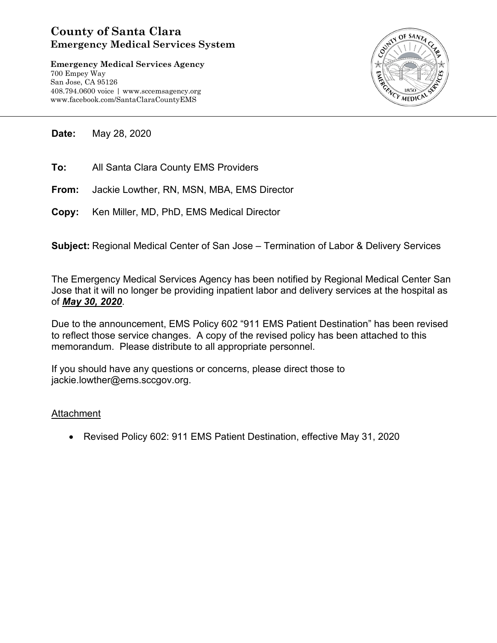## **County of Santa Clara Emergency Medical Services System**

**Emergency Medical Services Agency** 700 Empey Way San Jose, CA 95126 408.794.0600 voice | www.sccemsagency.org www.facebook.com/SantaClaraCountyEMS



**Date:** May 28, 2020

- **To:** All Santa Clara County EMS Providers
- **From:** Jackie Lowther, RN, MSN, MBA, EMS Director
- **Copy:** Ken Miller, MD, PhD, EMS Medical Director

**Subject:** Regional Medical Center of San Jose – Termination of Labor & Delivery Services

The Emergency Medical Services Agency has been notified by Regional Medical Center San Jose that it will no longer be providing inpatient labor and delivery services at the hospital as of *May 30, 2020*.

Due to the announcement, EMS Policy 602 "911 EMS Patient Destination" has been revised to reflect those service changes. A copy of the revised policy has been attached to this memorandum. Please distribute to all appropriate personnel.

If you should have any questions or concerns, please direct those to jackie.lowther@ems.sccgov.org.

## **Attachment**

• Revised Policy 602: 911 EMS Patient Destination, effective May 31, 2020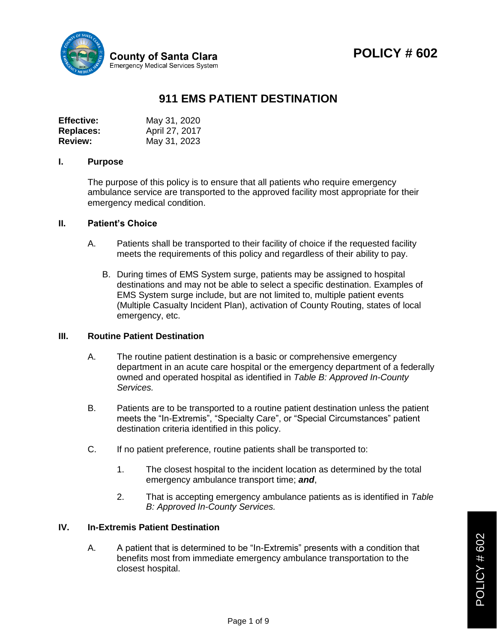

# **POLICY # 602**

## **911 EMS PATIENT DESTINATION**

| <b>Effective:</b> | May 31, 2020   |
|-------------------|----------------|
| <b>Replaces:</b>  | April 27, 2017 |
| <b>Review:</b>    | May 31, 2023   |

#### **I. Purpose**

The purpose of this policy is to ensure that all patients who require emergency ambulance service are transported to the approved facility most appropriate for their emergency medical condition.

#### **II. Patient's Choice**

- A. Patients shall be transported to their facility of choice if the requested facility meets the requirements of this policy and regardless of their ability to pay.
	- B. During times of EMS System surge, patients may be assigned to hospital destinations and may not be able to select a specific destination. Examples of EMS System surge include, but are not limited to, multiple patient events (Multiple Casualty Incident Plan), activation of County Routing, states of local emergency, etc.

#### **III. Routine Patient Destination**

- A. The routine patient destination is a basic or comprehensive emergency department in an acute care hospital or the emergency department of a federally owned and operated hospital as identified in *Table B: Approved In-County Services.*
- B. Patients are to be transported to a routine patient destination unless the patient meets the "In-Extremis", "Specialty Care", or "Special Circumstances" patient destination criteria identified in this policy.
- C. If no patient preference, routine patients shall be transported to:
	- 1. The closest hospital to the incident location as determined by the total emergency ambulance transport time; *and*,
	- 2. That is accepting emergency ambulance patients as is identified in *Table B: Approved In-County Services.*

#### **IV. In-Extremis Patient Destination**

A. A patient that is determined to be "In-Extremis" presents with a condition that benefits most from immediate emergency ambulance transportation to the closest hospital.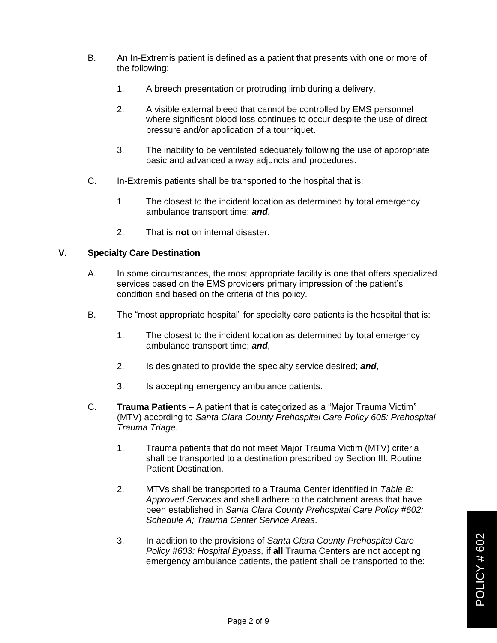- B. An In-Extremis patient is defined as a patient that presents with one or more of the following:
	- 1. A breech presentation or protruding limb during a delivery.
	- 2. A visible external bleed that cannot be controlled by EMS personnel where significant blood loss continues to occur despite the use of direct pressure and/or application of a tourniquet.
	- 3. The inability to be ventilated adequately following the use of appropriate basic and advanced airway adjuncts and procedures.
- C. In-Extremis patients shall be transported to the hospital that is:
	- 1. The closest to the incident location as determined by total emergency ambulance transport time; *and*,
	- 2. That is **not** on internal disaster.

#### **V. Specialty Care Destination**

- A. In some circumstances, the most appropriate facility is one that offers specialized services based on the EMS providers primary impression of the patient's condition and based on the criteria of this policy.
- B. The "most appropriate hospital" for specialty care patients is the hospital that is:
	- 1. The closest to the incident location as determined by total emergency ambulance transport time; *and*,
	- 2. Is designated to provide the specialty service desired; *and*,
	- 3. Is accepting emergency ambulance patients.
- C. **Trauma Patients**  A patient that is categorized as a "Major Trauma Victim" (MTV) according to *Santa Clara County Prehospital Care Policy 605: Prehospital Trauma Triage*.
	- 1. Trauma patients that do not meet Major Trauma Victim (MTV) criteria shall be transported to a destination prescribed by Section III: Routine Patient Destination.
	- 2. MTVs shall be transported to a Trauma Center identified in *Table B: Approved Services* and shall adhere to the catchment areas that have been established in *Santa Clara County Prehospital Care Policy #602: Schedule A; Trauma Center Service Areas*.
	- 3. In addition to the provisions of *Santa Clara County Prehospital Care Policy #603: Hospital Bypass,* if **all** Trauma Centers are not accepting emergency ambulance patients, the patient shall be transported to the: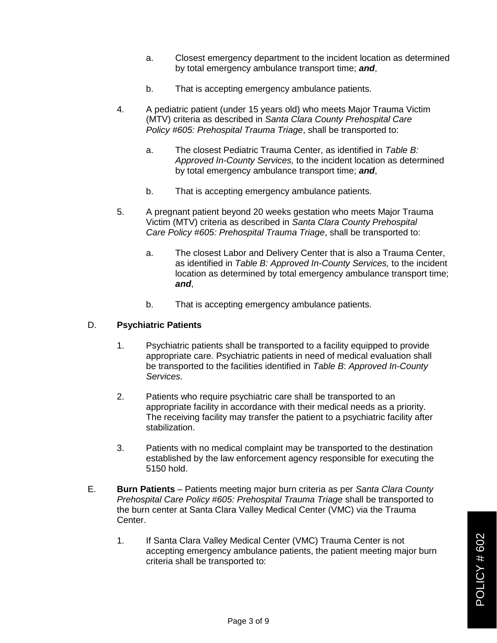- a. Closest emergency department to the incident location as determined by total emergency ambulance transport time; *and*,
- b. That is accepting emergency ambulance patients.
- 4. A pediatric patient (under 15 years old) who meets Major Trauma Victim (MTV) criteria as described in *Santa Clara County Prehospital Care Policy #605: Prehospital Trauma Triage*, shall be transported to:
	- a. The closest Pediatric Trauma Center, as identified in *Table B: Approved In-County Services,* to the incident location as determined by total emergency ambulance transport time; *and*,
	- b. That is accepting emergency ambulance patients.
- 5. A pregnant patient beyond 20 weeks gestation who meets Major Trauma Victim (MTV) criteria as described in *Santa Clara County Prehospital Care Policy #605: Prehospital Trauma Triage*, shall be transported to:
	- a. The closest Labor and Delivery Center that is also a Trauma Center, as identified in *Table B: Approved In-County Services,* to the incident location as determined by total emergency ambulance transport time; *and*,
	- b. That is accepting emergency ambulance patients.

#### D. **Psychiatric Patients**

- 1. Psychiatric patients shall be transported to a facility equipped to provide appropriate care. Psychiatric patients in need of medical evaluation shall be transported to the facilities identified in *Table B*: *Approved In-County Services.*
- 2. Patients who require psychiatric care shall be transported to an appropriate facility in accordance with their medical needs as a priority. The receiving facility may transfer the patient to a psychiatric facility after stabilization.
- 3. Patients with no medical complaint may be transported to the destination established by the law enforcement agency responsible for executing the 5150 hold.
- E. **Burn Patients** Patients meeting major burn criteria as per *Santa Clara County Prehospital Care Policy #605: Prehospital Trauma Triage* shall be transported to the burn center at Santa Clara Valley Medical Center (VMC) via the Trauma Center.
	- 1. If Santa Clara Valley Medical Center (VMC) Trauma Center is not accepting emergency ambulance patients, the patient meeting major burn criteria shall be transported to: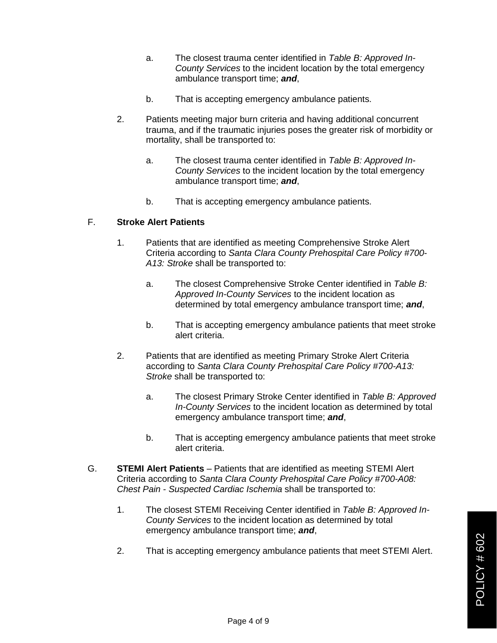- a. The closest trauma center identified in *Table B: Approved In-County Services* to the incident location by the total emergency ambulance transport time; *and*,
- b. That is accepting emergency ambulance patients.
- 2. Patients meeting major burn criteria and having additional concurrent trauma, and if the traumatic injuries poses the greater risk of morbidity or mortality, shall be transported to:
	- a. The closest trauma center identified in *Table B: Approved In-County Services* to the incident location by the total emergency ambulance transport time; *and*,
	- b. That is accepting emergency ambulance patients.

#### F. **Stroke Alert Patients**

- 1. Patients that are identified as meeting Comprehensive Stroke Alert Criteria according to *Santa Clara County Prehospital Care Policy #700- A13: Stroke* shall be transported to:
	- a. The closest Comprehensive Stroke Center identified in *Table B: Approved In-County Services* to the incident location as determined by total emergency ambulance transport time; *and*,
	- b. That is accepting emergency ambulance patients that meet stroke alert criteria.
- 2. Patients that are identified as meeting Primary Stroke Alert Criteria according to *Santa Clara County Prehospital Care Policy #700-A13: Stroke* shall be transported to:
	- a. The closest Primary Stroke Center identified in *Table B: Approved In-County Services* to the incident location as determined by total emergency ambulance transport time; *and*,
	- b. That is accepting emergency ambulance patients that meet stroke alert criteria.
- G. **STEMI Alert Patients** Patients that are identified as meeting STEMI Alert Criteria according to *Santa Clara County Prehospital Care Policy #700-A08: Chest Pain - Suspected Cardiac Ischemia* shall be transported to:
	- 1. The closest STEMI Receiving Center identified in *Table B: Approved In-County Services* to the incident location as determined by total emergency ambulance transport time; *and*,
	- 2. That is accepting emergency ambulance patients that meet STEMI Alert.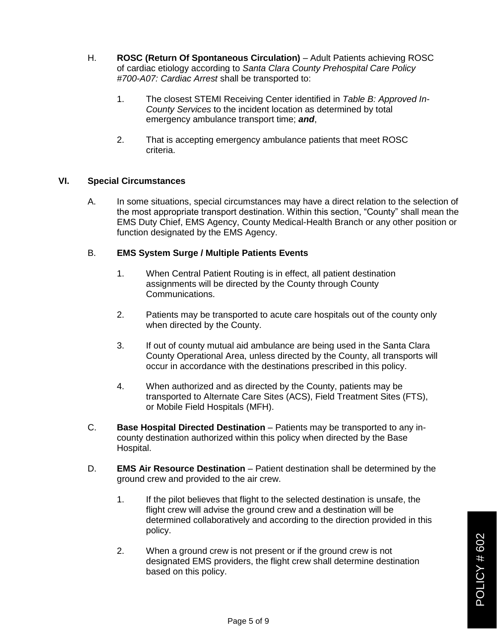- H. **ROSC (Return Of Spontaneous Circulation)** Adult Patients achieving ROSC of cardiac etiology according to *Santa Clara County Prehospital Care Policy #700-A07: Cardiac Arrest* shall be transported to:
	- 1. The closest STEMI Receiving Center identified in *Table B: Approved In-County Services* to the incident location as determined by total emergency ambulance transport time; *and*,
	- 2. That is accepting emergency ambulance patients that meet ROSC criteria.

#### **VI. Special Circumstances**

A. In some situations, special circumstances may have a direct relation to the selection of the most appropriate transport destination. Within this section, "County" shall mean the EMS Duty Chief, EMS Agency, County Medical-Health Branch or any other position or function designated by the EMS Agency.

## B. **EMS System Surge / Multiple Patients Events**

- 1. When Central Patient Routing is in effect, all patient destination assignments will be directed by the County through County Communications.
- 2. Patients may be transported to acute care hospitals out of the county only when directed by the County.
- 3. If out of county mutual aid ambulance are being used in the Santa Clara County Operational Area, unless directed by the County, all transports will occur in accordance with the destinations prescribed in this policy.
- 4. When authorized and as directed by the County, patients may be transported to Alternate Care Sites (ACS), Field Treatment Sites (FTS), or Mobile Field Hospitals (MFH).
- C. **Base Hospital Directed Destination** Patients may be transported to any incounty destination authorized within this policy when directed by the Base Hospital.
- D. **EMS Air Resource Destination** Patient destination shall be determined by the ground crew and provided to the air crew.
	- 1. If the pilot believes that flight to the selected destination is unsafe, the flight crew will advise the ground crew and a destination will be determined collaboratively and according to the direction provided in this policy.
	- 2. When a ground crew is not present or if the ground crew is not designated EMS providers, the flight crew shall determine destination based on this policy.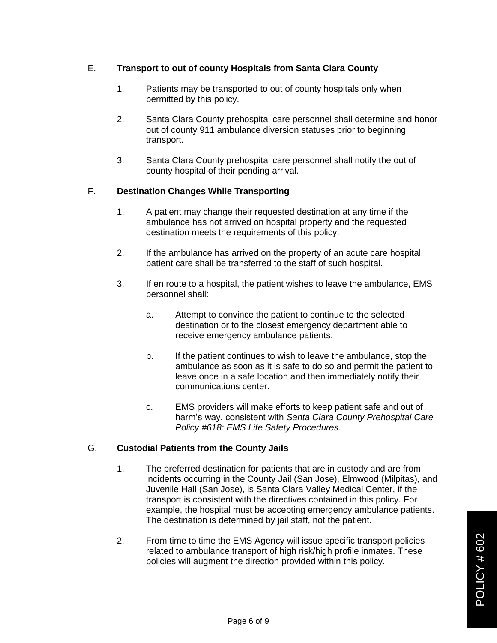## E. **Transport to out of county Hospitals from Santa Clara County**

- 1. Patients may be transported to out of county hospitals only when permitted by this policy.
- 2. Santa Clara County prehospital care personnel shall determine and honor out of county 911 ambulance diversion statuses prior to beginning transport.
- 3. Santa Clara County prehospital care personnel shall notify the out of county hospital of their pending arrival.

## F. **Destination Changes While Transporting**

- 1. A patient may change their requested destination at any time if the ambulance has not arrived on hospital property and the requested destination meets the requirements of this policy.
- 2. If the ambulance has arrived on the property of an acute care hospital, patient care shall be transferred to the staff of such hospital.
- 3. If en route to a hospital, the patient wishes to leave the ambulance, EMS personnel shall:
	- a. Attempt to convince the patient to continue to the selected destination or to the closest emergency department able to receive emergency ambulance patients.
	- b. If the patient continues to wish to leave the ambulance, stop the ambulance as soon as it is safe to do so and permit the patient to leave once in a safe location and then immediately notify their communications center.
	- c. EMS providers will make efforts to keep patient safe and out of harm's way, consistent with *Santa Clara County Prehospital Care Policy #618: EMS Life Safety Procedures*.

## G. **Custodial Patients from the County Jails**

- 1. The preferred destination for patients that are in custody and are from incidents occurring in the County Jail (San Jose), Elmwood (Milpitas), and Juvenile Hall (San Jose), is Santa Clara Valley Medical Center, if the transport is consistent with the directives contained in this policy. For example, the hospital must be accepting emergency ambulance patients. The destination is determined by jail staff, not the patient.
- 2. From time to time the EMS Agency will issue specific transport policies related to ambulance transport of high risk/high profile inmates. These policies will augment the direction provided within this policy.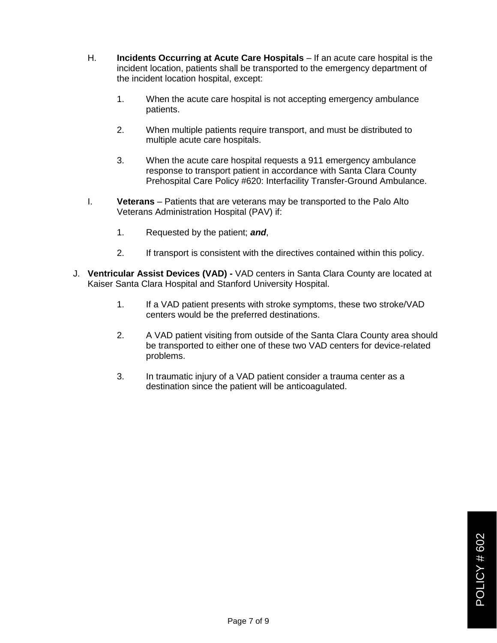- H. **Incidents Occurring at Acute Care Hospitals** If an acute care hospital is the incident location, patients shall be transported to the emergency department of the incident location hospital, except:
	- 1. When the acute care hospital is not accepting emergency ambulance patients.
	- 2. When multiple patients require transport, and must be distributed to multiple acute care hospitals.
	- 3. When the acute care hospital requests a 911 emergency ambulance response to transport patient in accordance with Santa Clara County Prehospital Care Policy #620: Interfacility Transfer-Ground Ambulance.
- I. **Veterans** Patients that are veterans may be transported to the Palo Alto Veterans Administration Hospital (PAV) if:
	- 1. Requested by the patient; *and*,
	- 2. If transport is consistent with the directives contained within this policy.
- J. **Ventricular Assist Devices (VAD) -** VAD centers in Santa Clara County are located at Kaiser Santa Clara Hospital and Stanford University Hospital.
	- 1. If a VAD patient presents with stroke symptoms, these two stroke/VAD centers would be the preferred destinations.
	- 2. A VAD patient visiting from outside of the Santa Clara County area should be transported to either one of these two VAD centers for device-related problems.
	- 3. In traumatic injury of a VAD patient consider a trauma center as a destination since the patient will be anticoagulated.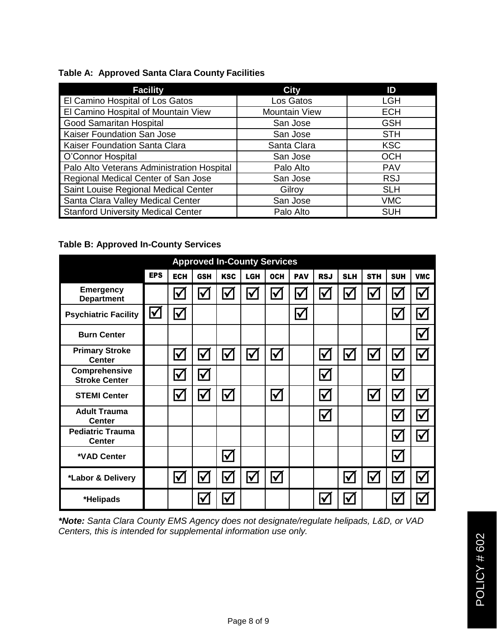## **Table A: Approved Santa Clara County Facilities**

| <b>Facility</b>                            | <b>City</b>          | ID         |
|--------------------------------------------|----------------------|------------|
| El Camino Hospital of Los Gatos            | Los Gatos            | <b>LGH</b> |
| El Camino Hospital of Mountain View        | <b>Mountain View</b> | <b>ECH</b> |
| <b>Good Samaritan Hospital</b>             | San Jose             | <b>GSH</b> |
| Kaiser Foundation San Jose                 | San Jose             | <b>STH</b> |
| Kaiser Foundation Santa Clara              | Santa Clara          | <b>KSC</b> |
| O'Connor Hospital                          | San Jose             | <b>OCH</b> |
| Palo Alto Veterans Administration Hospital | Palo Alto            | <b>PAV</b> |
| Regional Medical Center of San Jose        | San Jose             | <b>RSJ</b> |
| Saint Louise Regional Medical Center       | Gilroy               | <b>SLH</b> |
| Santa Clara Valley Medical Center          | San Jose             | <b>VMC</b> |
| <b>Stanford University Medical Center</b>  | Palo Alto            | <b>SUH</b> |

## **Table B: Approved In-County Services**

| <b>Approved In-County Services</b>       |                      |                      |                      |                      |                      |                      |                      |                      |                      |            |                         |                         |
|------------------------------------------|----------------------|----------------------|----------------------|----------------------|----------------------|----------------------|----------------------|----------------------|----------------------|------------|-------------------------|-------------------------|
|                                          | <b>EPS</b>           | <b>ECH</b>           | <b>GSH</b>           | <b>KSC</b>           | LGH                  | <b>OCH</b>           | <b>PAV</b>           | <b>RSJ</b>           | <b>SLH</b>           | <b>STH</b> | <b>SUH</b>              | <b>VMC</b>              |
| <b>Emergency</b><br><b>Department</b>    |                      | $\blacktriangledown$ | $\blacktriangledown$ | $\blacktriangledown$ | $\blacklozenge$      | $\blacktriangledown$ | $\blacktriangledown$ | $\blacktriangledown$ | $\blacklozenge$      | <u>V</u>   | $\blacktriangledown$    | $\blacktriangledown$    |
| <b>Psychiatric Facility</b>              | $\blacktriangledown$ | $\blacktriangledown$ |                      |                      |                      |                      | $\blacktriangledown$ |                      |                      |            | $\blacktriangledown$    | $\blacktriangledown$    |
| <b>Burn Center</b>                       |                      |                      |                      |                      |                      |                      |                      |                      |                      |            |                         | $\boldsymbol{\nabla}$   |
| <b>Primary Stroke</b><br><b>Center</b>   |                      | $\blacktriangledown$ | $\blacktriangledown$ | $\blacktriangledown$ | $\blacktriangledown$ | $\blacktriangledown$ |                      | $\blacklozenge$      | $\blacktriangledown$ | Ⅳ          | $\blacktriangledown$    | $\blacktriangledown$    |
| Comprehensive<br><b>Stroke Center</b>    |                      | $\blacktriangledown$ | $\blacktriangledown$ |                      |                      |                      |                      | $\blacklozenge$      |                      |            | $\blacktriangledown$    |                         |
| <b>STEMI Center</b>                      |                      | $\blacktriangledown$ | $\blacktriangledown$ | $\blacktriangledown$ |                      | $\blacktriangledown$ |                      | $\blacklozenge$      |                      | <u>V</u>   | $\overline{\mathbf{V}}$ | $\blacktriangledown$    |
| <b>Adult Trauma</b><br><b>Center</b>     |                      |                      |                      |                      |                      |                      |                      | $\blacklozenge$      |                      |            | $\blacktriangledown$    | $\blacktriangledown$    |
| <b>Pediatric Trauma</b><br><b>Center</b> |                      |                      |                      |                      |                      |                      |                      |                      |                      |            | $\checkmark$            | $\blacktriangledown$    |
| *VAD Center                              |                      |                      |                      | $\bm{\nabla}$        |                      |                      |                      |                      |                      |            | $\blacktriangledown$    |                         |
| *Labor & Delivery                        |                      | $\blacktriangledown$ | $\blacktriangledown$ | $\blacktriangledown$ | $\blacktriangledown$ | $\bm{\nabla}$        |                      |                      | $\blacktriangledown$ | <u>V</u>   | $\blacktriangledown$    | $\blacktriangledown$    |
| *Helipads                                |                      |                      | $\blacktriangledown$ | $\blacktriangledown$ |                      |                      |                      | $\checkmark$         | $\blacktriangledown$ |            | ✔                       | $\overline{\checkmark}$ |

*\*Note: Santa Clara County EMS Agency does not designate/regulate helipads, L&D, or VAD Centers, this is intended for supplemental information use only.*